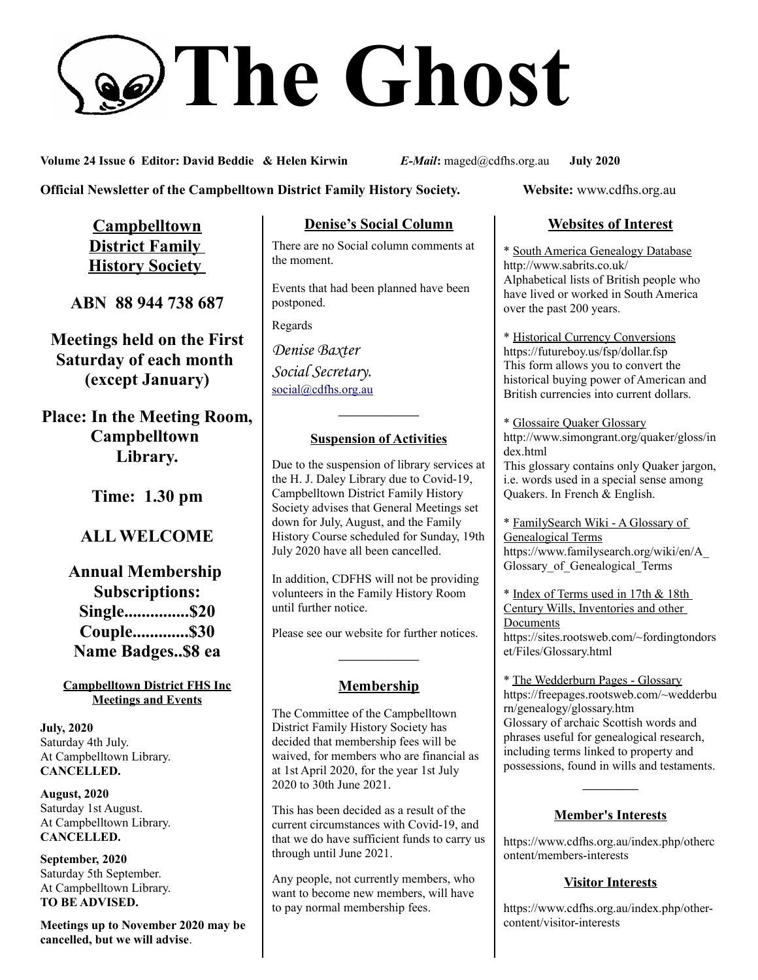# **The Ghost**

**Volume 24 Issue 6 Editor: David Beddie & Helen Kirwin** *E-Mail***:** maged@cdfhs.org.au **July 2020**

**Official Newsletter of the Campbelltown District Family History Society. Website: www.cdfhs.org.au** 

**Campbelltown District Family History Society** 

**ABN 88 944 738 687**

**Meetings held on the First Saturday of each month (except January)**

**Place: In the Meeting Room, Campbelltown Library.**

**Time: 1.30 pm**

# **ALL WELCOME**

**Annual Membership Subscriptions: Single...............\$20 Couple.............\$30 Name Badges..\$8 ea**

### **Campbelltown District FHS Inc Meetings and Events**

**July, 2020** Saturday 4th July. At Campbelltown Library. **CANCELLED.**

**August, 2020** Saturday 1st August. At Campbelltown Library. **CANCELLED.**

**September, 2020** Saturday 5th September. At Campbelltown Library. **TO BE ADVISED.**

**Meetings up to November 2020 may be cancelled, but we will advise**.

### **Denise's Social Column**

There are no Social column comments at the moment.

Events that had been planned have been postponed.

Regards

*Denise Baxter Social Secretary.* [social@cdfhs.org.au](mailto:social@cdfhs.org.au)

# **——————– Suspension of Activities**

Due to the suspension of library services at the H. J. Daley Library due to Covid-19, Campbelltown District Family History Society advises that General Meetings set down for July, August, and the Family History Course scheduled for Sunday, 19th July 2020 have all been cancelled.

In addition, CDFHS will not be providing volunteers in the Family History Room until further notice.

Please see our website for further notices.

### **Membership**

**——————–**

The Committee of the Campbelltown District Family History Society has decided that membership fees will be waived, for members who are financial as at 1st April 2020, for the year 1st July 2020 to 30th June 2021.

This has been decided as a result of the current circumstances with Covid-19, and that we do have sufficient funds to carry us through until June 2021.

Any people, not currently members, who want to become new members, will have to pay normal membership fees.

## **Websites of Interest**

\* South America Genealogy Database http://www.sabrits.co.uk/ Alphabetical lists of British people who have lived or worked in South America over the past 200 years.

\* Historical Currency Conversions https://futureboy.us/fsp/dollar.fsp This form allows you to convert the historical buying power of American and British currencies into current dollars.

\* Glossaire Quaker Glossary http://www.simongrant.org/quaker/gloss/in dex.html This glossary contains only Quaker jargon, i.e. words used in a special sense among

Quakers. In French & English.

\* FamilySearch Wiki - A Glossary of Genealogical Terms https://www.familysearch.org/wiki/en/A\_ Glossary\_of\_Genealogical\_Terms

\* Index of Terms used in 17th & 18th Century Wills, Inventories and other Documents https://sites.rootsweb.com/~fordingtondors et/Files/Glossary.html

\* The Wedderburn Pages - Glossary https://freepages.rootsweb.com/~wedderbu rn/genealogy/glossary.htm Glossary of archaic Scottish words and phrases useful for genealogical research, including terms linked to property and possessions, found in wills and testaments.

### **Member's Interests**

**————–**

https://www.cdfhs.org.au/index.php/otherc ontent/members-interests

### **Visitor Interests**

https://www.cdfhs.org.au/index.php/othercontent/visitor-interests